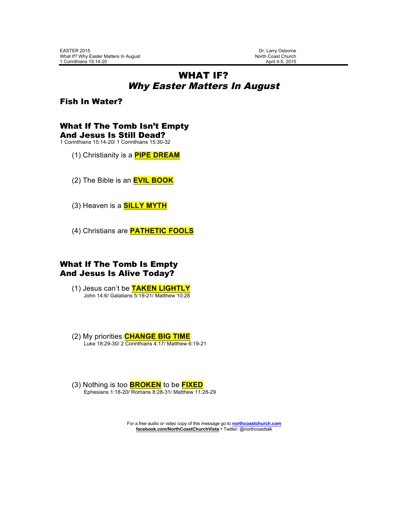### WHAT IF? Why Easter Matters In August

Fish In Water?

# What If The Tomb Isn't Empty

And Jesus Is Still Dead? 1 Corinthians 15:14-20/ 1 Corinthians 15:30-32

- (1) Christianity is a **PIPE DREAM**
- (2) The Bible is an **EVIL BOOK**
- (3) Heaven is a **SILLY MYTH**
- (4) Christians are **PATHETIC FOOLS**

#### What If The Tomb Is Empty And Jesus Is Alive Today?

- (1) Jesus can't be **TAKEN LIGHTLY** John 14:6/ Galatians 5:19-21/ Matthew 10:28
- (2) My priorities **CHANGE BIG TIME** Luke 18:29-30/ 2 Corinthians 4:17/ Matthew 6:19-21
- (3) Nothing is too **BROKEN** to be **FIXED** Ephesians 1:18-20/ Romans 8:28-31/ Matthew 11:28-29

For a free audio or video copy of this message go to **northcoastchurch.com facebook.com/NorthCoastChurchVista** • Twitter: @northcoasttalk